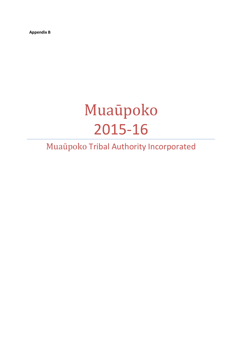Appendix B

# Muaūpoko 2015-16

# Muaūpoko Tribal Authority Incorporated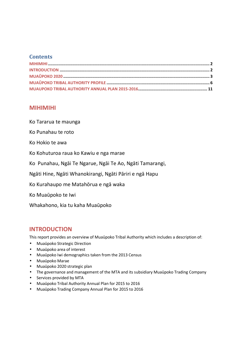#### **Contents**

## MIHIMIHI

Ko Tararua te maunga

Ko Punahau te roto

Ko Hokio te awa

Ko Kohuturoa raua ko Kawiu e nga marae

Ko Punahau, Ngāi Te Ngarue, Ngāi Te Ao, Ngāti Tamarangi,

Ngāti Hine, Ngāti Whanokirangi, Ngāti Pāriri e ngā Hapu

Ko Kurahaupo me Matahōrua e ngā waka

Ko Muaūpoko te Iwi

Whakahono, kia tu kaha Muaūpoko

# INTRODUCTION

This report provides an overview of Muaūpoko Tribal Authority which includes a description of:

- Muaūpoko Strategic Direction
- Muaūpoko area of interest
- Muaūpoko Iwi demographics taken from the 2013 Census
- Muaūpoko Marae
- Muaūpoko 2020 strategic plan
- The governance and management of the MTA and its subsidiary Muaūpoko Trading Company
- Services provided by MTA
- Muaūpoko Tribal Authority Annual Plan for 2015 to 2016
- Muaūpoko Trading Company Annual Plan for 2015 to 2016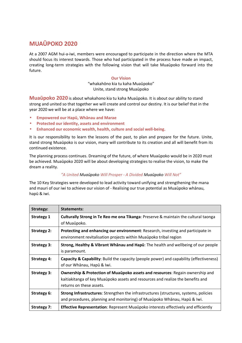# MUAŪPOKO 2020

At a 2007 AGM hui-a-iwi, members were encouraged to participate in the direction where the MTA should focus its interest towards. Those who had participated in the process have made an impact, creating long-term strategies with the following vision that will take Muaūpoko forward into the future.

#### Our Vision

"whakahōno kia tu kaha Muaūpoko" Unite, stand strong Muaūpoko

Muaūpoko 2020 is about whakahono kia tu kaha Muaūpoko. It is about our ability to stand strong and united so that together we will create and control our destiny. It is our belief that in the year 2020 we will be at a place where we have:

- Empowered our Hapū, Whānau and Marae
- Protected our identity, assets and environment
- Enhanced our economic wealth, health, culture and social well-being.

It is our responsibility to learn the lessons of the past, to plan and prepare for the future. Unite, stand strong Muaūpoko is our vision, many will contribute to its creation and all will benefit from its continued existence.

The planning process continues. Dreaming of the future, of where Muaūpoko would be in 2020 must be achieved. Muaūpoko 2020 will be about developing strategies to realise the vision, to make the dream a reality.

#### "A United Muaūpoko Will Prosper - A Divided Muaūpoko Will Not"

The 10 Key Strategies were developed to lead activity toward unifying and strengthening the mana and mauri of our iwi to achieve our vision of - Realising our true potential as Muaūpoko whānau, hapū & iwi.

| Strategy:          | Statements:                                                                                                                                                                                             |
|--------------------|---------------------------------------------------------------------------------------------------------------------------------------------------------------------------------------------------------|
| <b>Strategy 1</b>  | Culturally Strong in Te Reo me ona Tikanga: Preserve & maintain the cultural taonga<br>of Muaupoko.                                                                                                     |
| <b>Strategy 2:</b> | Protecting and enhancing our environment: Research, investing and participate in<br>environment revitalisation projects within Muaupoko tribal region                                                   |
| <b>Strategy 3:</b> | Strong, Healthy & Vibrant Whanau and Hapu: The health and wellbeing of our people<br>is paramount.                                                                                                      |
| <b>Strategy 4:</b> | Capacity & Capability: Build the capacity (people power) and capability (effectiveness)<br>of our Whānau, Hapū & Iwi.                                                                                   |
| <b>Strategy 3:</b> | <b>Ownership &amp; Protection of Muaūpoko assets and resources: Regain ownership and</b><br>kaitiakitanga of key Muaūpoko assets and resources and realize the benefits and<br>returns on these assets. |
| <b>Strategy 6:</b> | <b>Strong Infrastructures:</b> Strengthen the infrastructures (structures, systems, policies<br>and procedures, planning and monitoring) of Muaūpoko Whānau, Hapū & Iwi.                                |
| <b>Strategy 7:</b> | Effective Representation: Represent Muaūpoko interests effectively and efficiently                                                                                                                      |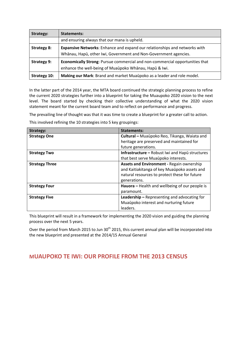| Strategy:          | Statements:                                                                         |
|--------------------|-------------------------------------------------------------------------------------|
|                    | and ensuring always that our mana is upheld.                                        |
| <b>Strategy 8:</b> | <b>Expansive Networks:</b> Enhance and expand our relationships and networks with   |
|                    | Whānau, Hapū, other Iwi, Government and Non-Government agencies.                    |
| <b>Strategy 9:</b> | <b>Economically Strong:</b> Pursue commercial and non-commercial opportunities that |
|                    | enhance the well-being of Muaūpoko Whānau, Hapū & Iwi.                              |
| Strategy 10:       | Making our Mark: Brand and market Muaūpoko as a leader and role model.              |

In the latter part of the 2014 year, the MTA board continued the strategic planning process to refine the current 2020 strategies further into a blueprint for taking the Muaupoko 2020 vision to the next level. The board started by checking their collective understanding of what the 2020 vision statement meant for the current board team and to reflect on performance and progress.

The prevailing line of thought was that it was time to create a blueprint for a greater call to action.

This involved refining the 10 strategies into 5 key groupings:

| <b>Strategy:</b>      | <b>Statements:</b>                                     |  |
|-----------------------|--------------------------------------------------------|--|
| <b>Strategy One</b>   | Cultural - Muaūpoko Reo, Tikanga, Waiata and           |  |
|                       | heritage are preserved and maintained for              |  |
|                       | future generations.                                    |  |
| <b>Strategy Two</b>   | <b>Infrastructure</b> – Robust Iwi and Hapu structures |  |
|                       | that best serve Muaupoko interests.                    |  |
| <b>Strategy Three</b> | <b>Assets and Environment - Regain ownership</b>       |  |
|                       | and Kaitiakitanga of key Muaūpoko assets and           |  |
|                       | natural resources to protect these for future          |  |
|                       | generations.                                           |  |
| <b>Strategy Four</b>  | Hauora - Health and wellbeing of our people is         |  |
|                       | paramount.                                             |  |
| <b>Strategy Five</b>  | <b>Leadership</b> $-$ Representing and advocating for  |  |
|                       | Muaūpoko interest and nurturing future                 |  |
|                       | leaders.                                               |  |

This blueprint will result in a framework for implementing the 2020 vision and guiding the planning process over the next 5 years.

Over the period from March 2015 to Jun 30<sup>th</sup> 2015, this current annual plan will be incorporated into the new blueprint and presented at the 2014/15 Annual General

# MUAUPOKO TE IWI: OUR PROFILE FROM THE 2013 CENSUS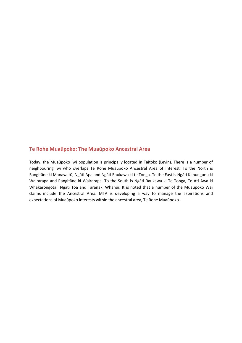#### Te Rohe Muaūpoko: The Muaūpoko Ancestral Area

Today, the Muaūpoko Iwi population is principally located in Taitoko (Levin). There is a number of neighbouring Iwi who overlaps Te Rohe Muaūpoko Ancestral Area of Interest. To the North is Rangitāne ki Manawatū, Ngāti Apa and Ngāti Raukawa ki te Tonga. To the East is Ngāti Kahungunu ki Wairarapa and Rangitāne ki Wairarapa. To the South is Ngāti Raukawa ki Te Tonga, Te Ati Awa ki Whakarongotai, Ngāti Toa and Taranaki Whānui. It is noted that a number of the Muaūpoko Wai claims include the Ancestral Area. MTA is developing a way to manage the aspirations and expectations of Muaūpoko interests within the ancestral area, Te Rohe Muaūpoko.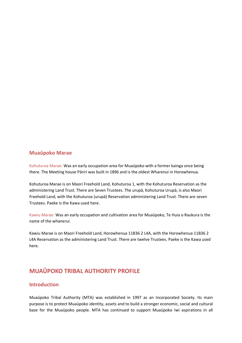#### Muaūpoko Marae

Kohuturoa Marae: Was an early occupation area for Muaūpoko with a former kainga once being there. The Meeting house Pāriri was built in 1896 and is the oldest Wharenui in Horowhenua.

Kohuturoa Marae is on Maori Freehold Land, Kohuturoa 1, with the Kohuturoa Reservation as the administering Land Trust. There are Seven Trustees. The urupā, Kohuturoa Urupā, is also Maori Freehold Land, with the Kohuturoa (urupā) Reservation administering Land Trust. There are seven Trustees. Paeke is the Kawa used here.

Kawiu Marae: Was an early occupation and cultivation area for Muaūpoko, Te Huia o Raukura is the name of the whanerui.

Kawiu Marae is on Maori Freehold Land, Horowhenua 11B36 2 L4A, with the Horowhenua 11B36 2 L4A Reservation as the administering Land Trust. There are twelve Trustees. Paeke is the Kawa used here.

# MUAŪPOKO TRIBAL AUTHORITY PROFILE

#### Introduction

Muaūpoko Tribal Authority (MTA) was established in 1997 as an Incorporated Society. Its main purpose is to protect Muaūpoko identity, assets and to build a stronger economic, social and cultural base for the Muaūpoko people. MTA has continued to support Muaūpoko Iwi aspirations in all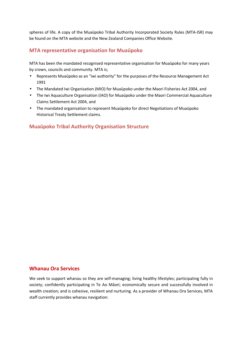spheres of life. A copy of the Muaūpoko Tribal Authority Incorporated Society Rules (MTA-ISR) may be found on the MTA website and the New Zealand Companies Office Website.

#### MTA representative organisation for Muaūpoko

MTA has been the mandated recognised representative organisation for Muaūpoko for many years by crown, councils and community. MTA is;

- Represents Muaūpoko as an "iwi authority" for the purposes of the Resource Management Act 1991
- The Mandated Iwi Organisation (MIO) for Muaūpoko under the Maori Fisheries Act 2004, and
- The Iwi Aquaculture Organisation (IAO) for Muaūpoko under the Maori Commercial Aquaculture Claims Settlement Act 2004, and
- The mandated organisation to represent Muaūpoko for direct Negotiations of Muaūpoko Historical Treaty Settlement claims.

#### Muaūpoko Tribal Authority Organisation Structure

#### Whanau Ora Services

We seek to support whanau so they are self-managing; living healthy lifestyles; participating fully in society; confidently participating in Te Ao Māori; economically secure and successfully involved in wealth creation; and is cohesive, resilient and nurturing. As a provider of Whanau Ora Services, MTA staff currently provides whanau navigation: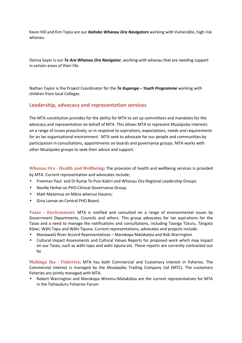Kevin Hill and Kim Topia are our Kaitoko Whanau Ora Navigators working with Vulnerable, high risk whanau.

Donna Sayer is our Te Ara Whanau Ora Navigator, working with whanau that are needing support in certain areas of their life.

Nathan Taylor is the Project Coordinator for the Te Kupenga - Youth Programme working with children from local Colleges

#### Leadership, advocacy and representation services

The MTA constitution provides for the ability for MTA to set up committees and mandates for the advocacy and representation on behalf of MTA. This allows MTA to represent Muaūpoko interests on a range of issues proactively, or in response to aspirations, expectations, needs and requirements for an Iwi organisational environment. MTA seek to advocate for our people and communities by participation in consultations, appointments on boards and governance groups. MTA works with other Muaūpoko groups to seek their advice and support.

Whanau Ora - Health and Wellbeing: The provision of health and wellbeing services is provided by MTA. Current representation and advocates include;

- Freeman Paul and Di Rump Te Puni Kokiri and Whanau Ora Regional Leadership Groups
- Neville Heihei on PHO Clinical Governance Group;
- Matt Matamua on Māna whenua Hauora;
- Gina Lomax on Central PHO Board.

Taiao – Environment: MTA is notified and consulted on a range of environmental issues by Government Departments, Councils and others. This group advocates for Iwi aspirations for the Taiao and a need to manage the notifications and consultations, including Taonga Tūturu, Tāngata Kōiwi, Wāhi Tapu and Wāhi Tipuna. Current representations, advocates and projects include:

- Manawatū River Accord Representatives Marokopa Matakatea and Rob Warrington
- Cultural Impact Assessments and Cultural Values Reports for proposed work which may impact on our Taiao, such as wāhi tapu and wāhi tipuna etc. These reports are currently contracted out by

Mahinga Ika - Fisheries: MTA has both Commercial and Customary interest in fisheries. The Commercial Interest is managed by the Muaūpoko Trading Company Ltd (MTC). The customary fisheries are jointly managed with MTA.

• Robert Warrington and Marokopa Wiremu-Matakātea are the current representatives for MTA in the Taihauāuru Fisheries Forum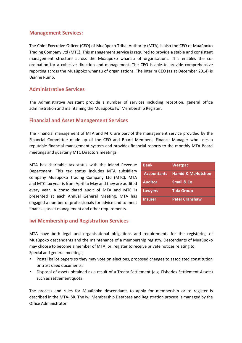#### Management Services:

The Chief Executive Officer (CEO) of Muaūpoko Tribal Authority (MTA) is also the CEO of Muaūpoko Trading Company Ltd (MTC). This management service is required to provide a stable and consistent management structure across the Muaūpoko whanau of organisations. This enables the coordination for a cohesive direction and management. The CEO is able to provide comprehensive reporting across the Muaūpoko whanau of organisations. The interim CEO (as at December 2014) is Dianne Rump.

#### Administrative Services

The Administrative Assistant provide a number of services including reception, general office administration and maintaining the Muaūpoko Iwi Membership Register.

#### Financial and Asset Management Services

The Financial management of MTA and MTC are part of the management service provided by the Financial Committee made up of the CEO and Board Members. Finance Manager who uses a reputable financial management system and provides financial reports to the monthly MTA Board meetings and quarterly MTC Directors meetings.

MTA has charitable tax status with the Inland Revenue Department. This tax status includes MTA subsidiary company Muaūpoko Trading Company Ltd (MTC). MTA and MTC tax year is from April to May and they are audited every year. A consolidated audit of MTA and MTC is presented at each Annual General Meeting. MTA has engaged a number of professionals for advice and to meet financial, asset management and other requirements.

| <b>Bank</b>        | <b>Westpac</b>               |
|--------------------|------------------------------|
| <b>Accountants</b> | <b>Hamid &amp; McHutchon</b> |
| <b>Auditor</b>     | <b>Small &amp; Co</b>        |
| <b>Lawyers</b>     | <b>Tuia Group</b>            |
| <b>Insurer</b>     | <b>Peter Cranshaw</b>        |

#### Iwi Membership and Registration Services

MTA have both legal and organisational obligations and requirements for the registering of Muaūpoko descendants and the maintenance of a membership registry. Descendants of Muaūpoko may choose to become a member of MTA, or, register to receive private notices relating to: Special and general meetings;

- Postal ballot papers so they may vote on elections, proposed changes to associated constitution or trust deed documents;
- Disposal of assets obtained as a result of a Treaty Settlement (e.g. Fisheries Settlement Assets) such as settlement quota.

The process and rules for Muaūpoko descendants to apply for membership or to register is described in the MTA-ISR. The Iwi Membership Database and Registration process is managed by the Office Administrator.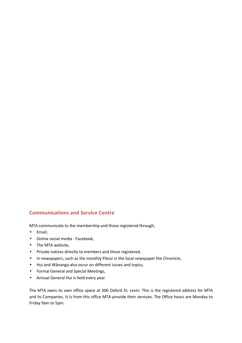## Communications and Service Centre

MTA communicate to the membership and those registered through;

- Email,
- Online social media Facebook,
- The MTA website,
- Private notices directly to members and those registered,
- In newspapers, such as the monthly Pānui in the local newspaper the Chronicle,
- Hui and Wānanga also occur on different issues and topics,
- Formal General and Special Meetings,
- Annual General Hui is held every year.

The MTA owns its own office space at 306 Oxford St, Levin. This is the registered address for MTA and its Companies. It is from this office MTA provide their services. The Office hours are Monday to Friday 9am to 5pm.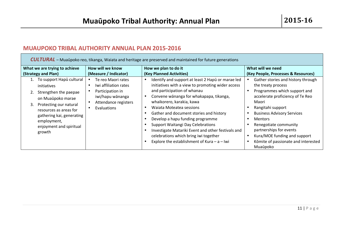# MUAUPOKO TRIBAL AUTHORITY ANNUAL PLAN 2015-2016

r.

| <b>CULTURAL</b> – Muaūpoko reo, tikanga, Waiata and heritage are preserved and maintained for future generations                                                                                                                                                       |  |  |  |  |
|------------------------------------------------------------------------------------------------------------------------------------------------------------------------------------------------------------------------------------------------------------------------|--|--|--|--|
|                                                                                                                                                                                                                                                                        |  |  |  |  |
| (Key People, Processes & Resources)                                                                                                                                                                                                                                    |  |  |  |  |
| Gather stories and history through<br>Programmes which support and<br>accelerate proficiency of Te Reo<br><b>Business Advisory Services</b><br>Renegotiate community<br>partnerships for events<br>Kura/MOE funding and support<br>Kōmite of passionate and interested |  |  |  |  |
|                                                                                                                                                                                                                                                                        |  |  |  |  |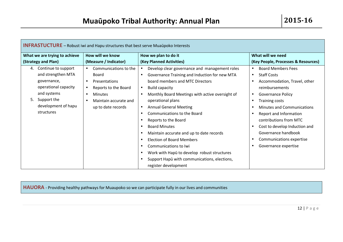| <b>INFRASTUCTURE</b> – Robust iwi and Hapu structures that best serve Muaupoko Interests |                               |                                   |                                                            |                                        |
|------------------------------------------------------------------------------------------|-------------------------------|-----------------------------------|------------------------------------------------------------|----------------------------------------|
|                                                                                          | What we are trying to achieve | How will we know                  | How we plan to do it                                       | What will we need                      |
|                                                                                          | (Strategy and Plan)           | (Measure / Indicator)             | (Key Planned Activities)                                   | (Key People, Processes & Resources)    |
| 4.                                                                                       | Continue to support           | Communications to the             | Develop clear governance and management roles              | <b>Board Members Fees</b><br>$\bullet$ |
|                                                                                          | and strengthen MTA            | Board                             | Governance Training and Induction for new MTA<br>$\bullet$ | <b>Staff Costs</b><br>$\bullet$        |
|                                                                                          | governance,                   | Presentations                     | board members and MTC Directors                            | Accommodation, Travel, other           |
|                                                                                          | operational capacity          | Reports to the Board<br>$\bullet$ | <b>Build capacity</b><br>$\bullet$                         | reimbursements                         |
|                                                                                          | and systems                   | <b>Minutes</b>                    | Monthly Board Meetings with active oversight of            | <b>Governance Policy</b>               |
| 5.                                                                                       | Support the                   | Maintain accurate and             | operational plans                                          | <b>Training costs</b>                  |
|                                                                                          | development of hapu           | up to date records                | <b>Annual General Meeting</b><br>$\bullet$                 | <b>Minutes and Communications</b>      |
|                                                                                          | structures                    |                                   | Communications to the Board<br>$\bullet$                   | Report and Information                 |
|                                                                                          |                               |                                   | Reports to the Board<br>$\bullet$                          | contributions from MTC                 |
|                                                                                          |                               |                                   | <b>Board Minutes</b><br>$\bullet$                          | Cost to develop Induction and          |
|                                                                                          |                               |                                   | Maintain accurate and up to date records                   | Governance handbook                    |
|                                                                                          |                               |                                   | <b>Election of Board Members</b><br>$\bullet$              | Communications expertise               |
|                                                                                          |                               |                                   | Communications to Iwi<br>$\bullet$                         | Governance expertise                   |
|                                                                                          |                               |                                   | Work with Hapū to develop robust structures<br>$\bullet$   |                                        |
|                                                                                          |                               |                                   | Support Hapū with communications, elections,               |                                        |
|                                                                                          |                               |                                   | register development                                       |                                        |

HAUORA - Providing healthy pathways for Muaupoko so we can participate fully in our lives and communities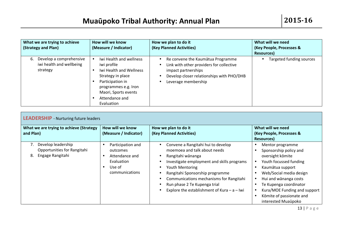| What we are trying to achieve<br>(Strategy and Plan)                  | How will we know<br>(Measure / Indicator)                                                                                                                                                  | How we plan to do it<br>(Key Planned Activities)                                                                                                                                                                             | What will we need<br>(Key People, Processes &<br>Resources) |
|-----------------------------------------------------------------------|--------------------------------------------------------------------------------------------------------------------------------------------------------------------------------------------|------------------------------------------------------------------------------------------------------------------------------------------------------------------------------------------------------------------------------|-------------------------------------------------------------|
| Develop a comprehensive<br>6.<br>iwi health and wellbeing<br>strategy | Iwi Health and wellness<br>iwi profile<br>Iwi Health and Wellness<br>Strategy in place<br>Participation in<br>programmes e.g. Iron<br>Maori, Sports events<br>Attendance and<br>Evaluation | Re convene the Kaumātua Programme<br>$\bullet$<br>Link with other providers for collective<br>$\bullet$<br>impact partnerships<br>Develop closer relationships with PHO/DHB<br>$\bullet$<br>Leverage membership<br>$\bullet$ | Targeted funding sources                                    |

| <b>LEADERSHIP</b> - Nurturing future leaders                                |                                                                                                                     |                                                                                                                                                                                                                                                                                                                                                     |                                                                                                                                                                                                                                                                               |
|-----------------------------------------------------------------------------|---------------------------------------------------------------------------------------------------------------------|-----------------------------------------------------------------------------------------------------------------------------------------------------------------------------------------------------------------------------------------------------------------------------------------------------------------------------------------------------|-------------------------------------------------------------------------------------------------------------------------------------------------------------------------------------------------------------------------------------------------------------------------------|
| What we are trying to achieve (Strategy<br>and Plan)                        | How will we know<br>(Measure / Indicator)                                                                           | How we plan to do it<br>(Key Planned Activities)                                                                                                                                                                                                                                                                                                    | What will we need<br>(Key People, Processes &<br>Resources)                                                                                                                                                                                                                   |
| Develop leadership<br>Opportunities for Rangitahi<br>Engage Rangitahi<br>8. | Participation and<br>$\bullet$<br>outcomes<br>Attendance and<br>$\bullet$<br>Evaluation<br>Use of<br>communications | Convene a Rangitahi hui to develop<br>$\bullet$<br>moemoea and talk about needs<br>Rangitahi wānanga<br>$\bullet$<br>Investigate employment and skills programs<br>Youth Mentoring<br>Rangitahi Sponsorship programme<br>Communications mechanisms for Rangitahi<br>Run phase 2 Te Kupenga trial<br>Explore the establishment of Kura $-$ a $-$ Iwi | Mentor programme<br>Sponsorship policy and<br>oversight komite<br>Youth focussed funding<br>Kaumātua support<br>Web/Social media design<br>Hui and wānanga costs<br>Te Kupenga coordinator<br>Kura/MOE Funding and support<br>Kōmite of passionate and<br>interested Muaūpoko |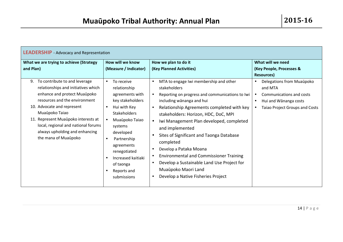| <b>LEADERSHIP</b> - Advocacy and Representation                                                                                                                                                                                                                                                                                                                                             |                                                                                                                                                                                                                                                        |                                                                                                                                                                                                                                                                                                                                                                                                                                                 |                                                                                                                                                                                                    |
|---------------------------------------------------------------------------------------------------------------------------------------------------------------------------------------------------------------------------------------------------------------------------------------------------------------------------------------------------------------------------------------------|--------------------------------------------------------------------------------------------------------------------------------------------------------------------------------------------------------------------------------------------------------|-------------------------------------------------------------------------------------------------------------------------------------------------------------------------------------------------------------------------------------------------------------------------------------------------------------------------------------------------------------------------------------------------------------------------------------------------|----------------------------------------------------------------------------------------------------------------------------------------------------------------------------------------------------|
| What we are trying to achieve (Strategy<br>and Plan)<br>To contribute to and leverage<br>9.<br>relationships and initiatives which<br>enhance and protect Muaūpoko<br>resources and the environment<br>10. Advocate and represent<br>Muaupoko Taiao<br>11. Represent Muaūpoko interests at<br>local, regional and national forums<br>always upholding and enhancing<br>the mana of Muaūpoko | How will we know<br>(Measure / Indicator)<br>To receive<br>$\bullet$<br>relationship<br>agreements with<br>key stakeholders<br>Hui with Key<br>$\bullet$<br><b>Stakeholders</b><br>Muaupoko Taiao<br>systems<br>developed<br>Partnership<br>agreements | How we plan to do it<br>(Key Planned Activities)<br>MTA to engage Iwi membership and other<br>$\bullet$<br>stakeholders<br>Reporting on progress and communications to Iwi<br>including wānanga and hui<br>Relationship Agreements completed with key<br>$\bullet$<br>stakeholders: Horizon, HDC, DoC, MPI<br>Iwi Management Plan developed, completed<br>$\bullet$<br>and implemented<br>Sites of Significant and Taonga Database<br>completed | What will we need<br>(Key People, Processes &<br><b>Resources</b> )<br>Delegations from Muaūpoko<br>and MTA<br>Communications and costs<br>Hui and Wānanga costs<br>Taiao Project Groups and Costs |
|                                                                                                                                                                                                                                                                                                                                                                                             | renegotiated<br>Increased kaitiaki<br>of taonga<br>Reports and<br>submissions                                                                                                                                                                          | Develop a Pataka Moana<br><b>Environmental and Commissioner Training</b><br>Develop a Sustainable Land Use Project for<br>Muaūpoko Maori Land<br>Develop a Native Fisheries Project                                                                                                                                                                                                                                                             |                                                                                                                                                                                                    |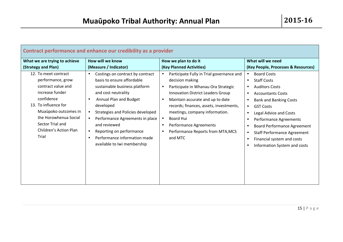| Contract performance and enhance our credibility as a provider                                                                                                                                                                   |                                                                                                                                                                                                                                                                                                                                                                                                      |                                                                                                                                                                                                                                                                                                                                                                                                                          |                                                                                                                                                                                                                                                                                                                                                                                                                                |  |
|----------------------------------------------------------------------------------------------------------------------------------------------------------------------------------------------------------------------------------|------------------------------------------------------------------------------------------------------------------------------------------------------------------------------------------------------------------------------------------------------------------------------------------------------------------------------------------------------------------------------------------------------|--------------------------------------------------------------------------------------------------------------------------------------------------------------------------------------------------------------------------------------------------------------------------------------------------------------------------------------------------------------------------------------------------------------------------|--------------------------------------------------------------------------------------------------------------------------------------------------------------------------------------------------------------------------------------------------------------------------------------------------------------------------------------------------------------------------------------------------------------------------------|--|
| What we are trying to achieve<br>(Strategy and Plan)                                                                                                                                                                             | How will we know<br>(Measure / Indicator)                                                                                                                                                                                                                                                                                                                                                            | How we plan to do it<br>(Key Planned Activities)                                                                                                                                                                                                                                                                                                                                                                         | What will we need<br>(Key People, Processes & Resources)                                                                                                                                                                                                                                                                                                                                                                       |  |
| 12. To meet contract<br>performance, grow<br>contract value and<br>increase funder<br>confidence<br>13. To influence for<br>Muaūpoko outcomes in<br>the Horowhenua Social<br>Sector Trial and<br>Children's Action Plan<br>Trial | Costings on contract by contract<br>$\bullet$<br>basis to ensure affordable<br>sustainable business platform<br>and cost neutrality<br>Annual Plan and Budget<br>developed<br>Strategies and Policies developed<br>$\bullet$<br>Performance Agreements in place<br>$\bullet$<br>and reviewed<br>Reporting on performance<br>$\bullet$<br>Performance information made<br>available to Iwi membership | Participate Fully in Trial governance and<br>$\bullet$<br>decision making<br>Participate in Whanau Ora Strategic<br>$\bullet$<br><b>Innovation District Leaders Group</b><br>Maintain accurate and up to date<br>$\bullet$<br>records; finances, assets, investments,<br>meetings, company information.<br>Board Hui<br>Performance Agreements<br>$\bullet$<br>Performance Reports from MTA, MCS<br>$\bullet$<br>and MTC | <b>Board Costs</b><br><b>Staff Costs</b><br><b>Auditors Costs</b><br>$\bullet$<br><b>Accountants Costs</b><br>$\bullet$<br><b>Bank and Banking Costs</b><br><b>GST Costs</b><br>$\bullet$<br>Legal Advice and Costs<br>$\bullet$<br>Performance Agreements<br>$\bullet$<br><b>Board Performance Agreement</b><br><b>Staff Performance Agreement</b><br>Financial system and costs<br>$\bullet$<br>Information System and costs |  |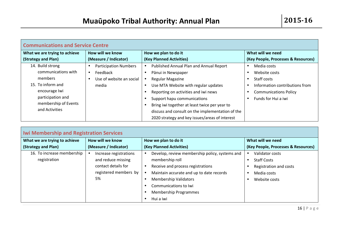| <b>Communications and Service Centre</b> |                              |                                                  |                                     |
|------------------------------------------|------------------------------|--------------------------------------------------|-------------------------------------|
| What we are trying to achieve            | How will we know             | How we plan to do it                             | What will we need                   |
| (Strategy and Plan)                      | (Measure / Indicator)        | (Key Planned Activities)                         | (Key People, Processes & Resources) |
| 14. Build strong                         | <b>Participation Numbers</b> | Published Annual Plan and Annual Report          | Media costs                         |
| communications with                      | Feedback<br>$\bullet$        | Pānui in Newspaper                               | Website costs                       |
| members                                  | Use of website an social     | Regular Magazine                                 | Staff costs                         |
| 15. To inform and                        | media                        | Use MTA Website with regular updates             | Information contributions from      |
| encourage Iwi                            |                              | Reporting on activities and iwi news             | <b>Communications Policy</b>        |
| participation and                        |                              | Support hapu communications                      | Funds for Hui a iwi                 |
| membership of Events                     |                              | Bring iwi together at least twice per year to    |                                     |
| and Activities                           |                              | discuss and consult on the implementation of the |                                     |
|                                          |                              | 2020 strategy and key issues/areas of interest   |                                     |

| <b>Iwi Membership and Registration Services</b> |                        |                                                |                                     |  |
|-------------------------------------------------|------------------------|------------------------------------------------|-------------------------------------|--|
| What we are trying to achieve                   | How will we know       | How we plan to do it                           | What will we need                   |  |
| (Strategy and Plan)                             | (Measure / Indicator)  | (Key Planned Activities)                       | (Key People, Processes & Resources) |  |
| 16. To increase membership                      | Increase registrations | Develop, review membership policy, systems and | Validator costs                     |  |
| registration                                    | and reduce missing     | membership roll                                | <b>Staff Costs</b>                  |  |
|                                                 | contact details for    | Receive and process registrations              | Registration and costs              |  |
|                                                 | registered members by  | Maintain accurate and up to date records       | Media costs                         |  |
|                                                 | 5%                     | <b>Membership Validators</b>                   | Website costs                       |  |
|                                                 |                        | Communications to Iwi                          |                                     |  |
|                                                 |                        | <b>Membership Programmes</b>                   |                                     |  |
|                                                 |                        | Hui a iwi                                      |                                     |  |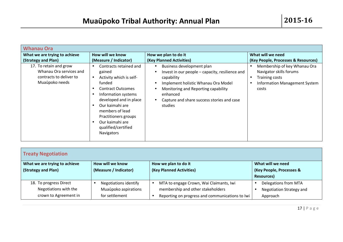| <b>Whanau Ora</b>                                                                              |                                                                                                                                                                                                                                                                          |                                                                                                                                                                                                                                                                                      |                                                                                                                                   |
|------------------------------------------------------------------------------------------------|--------------------------------------------------------------------------------------------------------------------------------------------------------------------------------------------------------------------------------------------------------------------------|--------------------------------------------------------------------------------------------------------------------------------------------------------------------------------------------------------------------------------------------------------------------------------------|-----------------------------------------------------------------------------------------------------------------------------------|
| What we are trying to achieve<br>(Strategy and Plan)                                           | How will we know<br>(Measure / Indicator)                                                                                                                                                                                                                                | How we plan to do it<br>(Key Planned Activities)                                                                                                                                                                                                                                     | What will we need<br>(Key People, Processes & Resources)                                                                          |
| 17. To retain and grow<br>Whanau Ora services and<br>contracts to deliver to<br>Muaūpoko needs | Contracts retained and<br>gained<br>Activity which is self-<br>funded<br><b>Contract Outcomes</b><br>Information systems<br>developed and in place<br>Our kaimahi are<br>members of lead<br>Practitioners groups<br>Our kaimahi are<br>qualified/certified<br>Navigators | Business development plan<br>$\bullet$<br>Invest in our people - capacity, resilience and<br>$\bullet$<br>capability<br>Implement holistic Whanau Ora Model<br>$\bullet$<br>Monitoring and Reporting capability<br>enhanced<br>Capture and share success stories and case<br>studies | Membership of key Whanau Ora<br>Navigator skills forums<br><b>Training costs</b><br><b>Information Management System</b><br>costs |

| <b>Treaty Negotiation</b>     |                       |                                                 |                                 |  |
|-------------------------------|-----------------------|-------------------------------------------------|---------------------------------|--|
| What we are trying to achieve | How will we know      | How we plan to do it                            | What will we need               |  |
| (Strategy and Plan)           | (Measure / Indicator) | (Key Planned Activities)                        | (Key People, Processes &        |  |
|                               |                       |                                                 | Resources)                      |  |
| 18. To progress Direct        | Negotiations identify | MTA to engage Crown, Wai Claimants, Iwi         | Delegations from MTA            |  |
| Negotiations with the         | Muaūpoko aspirations  | membership and other stakeholders               | <b>Negotiation Strategy and</b> |  |
| crown to Agreement in         | for settlement        | Reporting on progress and communications to Iwi | Approach                        |  |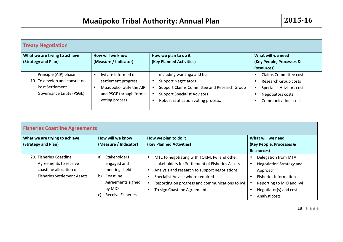| <b>Treaty Negotiation</b>     |                                      |                                             |                                  |  |
|-------------------------------|--------------------------------------|---------------------------------------------|----------------------------------|--|
| What we are trying to achieve | How will we know                     | How we plan to do it                        | What will we need                |  |
| (Strategy and Plan)           | (Measure / Indicator)                | (Key Planned Activities)                    | (Key People, Processes &         |  |
|                               |                                      |                                             | Resources)                       |  |
| Principle (AIP) phase         | Iwi are informed of<br>$\bullet$     | including wananga and hui                   | <b>Claims Committee costs</b>    |  |
| 19. To develop and consult on | settlement progress                  | <b>Support Negotiators</b>                  | Research Group costs             |  |
| Post Settlement               | Muaūpoko ratify the AIP<br>$\bullet$ | Support Claims Committee and Research Group | <b>Specialist Advisors costs</b> |  |
| Governance Entity (PSGE)      | and PSGE through formal              | <b>Support Specialist Advisors</b>          | Negotiators costs                |  |
|                               | voting process.                      | Robust ratification voting process.         | <b>Communications costs</b>      |  |

| <b>Fisheries Coastline Agreements</b>                                                                             |                                                                                                                                               |                                                                                                                                                                                                                                                                                    |                                                                                                                                                                     |  |
|-------------------------------------------------------------------------------------------------------------------|-----------------------------------------------------------------------------------------------------------------------------------------------|------------------------------------------------------------------------------------------------------------------------------------------------------------------------------------------------------------------------------------------------------------------------------------|---------------------------------------------------------------------------------------------------------------------------------------------------------------------|--|
| What we are trying to achieve                                                                                     | How will we know                                                                                                                              | How we plan to do it                                                                                                                                                                                                                                                               | What will we need                                                                                                                                                   |  |
| (Strategy and Plan)                                                                                               | (Measure / Indicator)                                                                                                                         | (Key Planned Activities)                                                                                                                                                                                                                                                           | (Key People, Processes &                                                                                                                                            |  |
|                                                                                                                   |                                                                                                                                               |                                                                                                                                                                                                                                                                                    | Resources)                                                                                                                                                          |  |
| 20. Fisheries Coastline<br>Agreements to receive<br>coastline allocation of<br><b>Fisheries Settlement Assets</b> | <b>Stakeholders</b><br>a)<br>engaged and<br>meetings held<br>b)<br>Coastline<br>Agreements signed<br>by MIO<br><b>Receive Fisheries</b><br>C) | MTC to negotiating with TOKM, Iwi and other<br>$\bullet$<br>stakeholders for Settlement of Fisheries Assets<br>Analysis and research to support negotiations<br>Specialist Advice where required<br>Reporting on progress and communications to Iwi<br>To sign Coastline Agreement | Delegation from MTA<br>Negotiation Strategy and<br>Approach<br><b>Fisheries Information</b><br>Reporting to MIO and Iwi<br>Negotiator(s) and costs<br>Analyst costs |  |